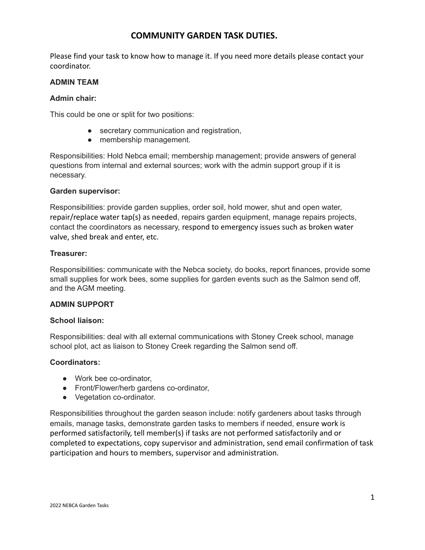# **COMMUNITY GARDEN TASK DUTIES.**

Please find your task to know how to manage it. If you need more details please contact your coordinator.

#### **ADMIN TEAM**

#### **Admin chair:**

This could be one or split for two positions:

- secretary communication and registration,
- membership management.

Responsibilities: Hold Nebca email; membership management; provide answers of general questions from internal and external sources; work with the admin support group if it is necessary.

#### **Garden supervisor:**

Responsibilities: provide garden supplies, order soil, hold mower, shut and open water, repair/replace water tap(s) as needed, repairs garden equipment, manage repairs projects, contact the coordinators as necessary, respond to emergency issues such as broken water valve, shed break and enter, etc.

#### **Treasurer:**

Responsibilities: communicate with the Nebca society, do books, report finances, provide some small supplies for work bees, some supplies for garden events such as the Salmon send off, and the AGM meeting.

#### **ADMIN SUPPORT**

#### **School liaison:**

Responsibilities: deal with all external communications with Stoney Creek school, manage school plot, act as liaison to Stoney Creek regarding the Salmon send off.

#### **Coordinators:**

- Work bee co-ordinator,
- Front/Flower/herb gardens co-ordinator,
- Vegetation co-ordinator.

Responsibilities throughout the garden season include: notify gardeners about tasks through emails, manage tasks, demonstrate garden tasks to members if needed, ensure work is performed satisfactorily, tell member(s) if tasks are not performed satisfactorily and or completed to expectations, copy supervisor and administration, send email confirmation of task participation and hours to members, supervisor and administration.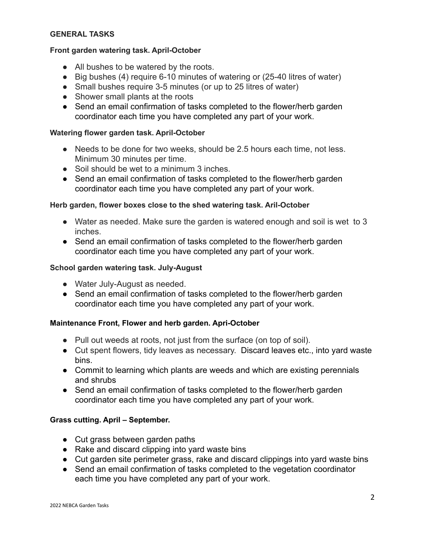### **GENERAL TASKS**

### **Front garden watering task. April-October**

- All bushes to be watered by the roots.
- Big bushes (4) require 6-10 minutes of watering or (25-40 litres of water)
- Small bushes require 3-5 minutes (or up to 25 litres of water)
- Shower small plants at the roots
- Send an email confirmation of tasks completed to the flower/herb garden coordinator each time you have completed any part of your work.

## **Watering flower garden task. April-October**

- Needs to be done for two weeks, should be 2.5 hours each time, not less. Minimum 30 minutes per time.
- Soil should be wet to a minimum 3 inches.
- Send an email confirmation of tasks completed to the flower/herb garden coordinator each time you have completed any part of your work.

## **Herb garden, flower boxes close to the shed watering task. Aril-October**

- Water as needed. Make sure the garden is watered enough and soil is wet to 3 inches.
- Send an email confirmation of tasks completed to the flower/herb garden coordinator each time you have completed any part of your work.

## **School garden watering task. July-August**

- Water July-August as needed.
- Send an email confirmation of tasks completed to the flower/herb garden coordinator each time you have completed any part of your work.

# **Maintenance Front, Flower and herb garden. Apri-October**

- Pull out weeds at roots, not just from the surface (on top of soil).
- Cut spent flowers, tidy leaves as necessary. Discard leaves etc., into yard waste bins.
- Commit to learning which plants are weeds and which are existing perennials and shrubs
- Send an email confirmation of tasks completed to the flower/herb garden coordinator each time you have completed any part of your work.

# **Grass cutting. April – September.**

- Cut grass between garden paths
- Rake and discard clipping into yard waste bins
- Cut garden site perimeter grass, rake and discard clippings into yard waste bins
- Send an email confirmation of tasks completed to the vegetation coordinator each time you have completed any part of your work.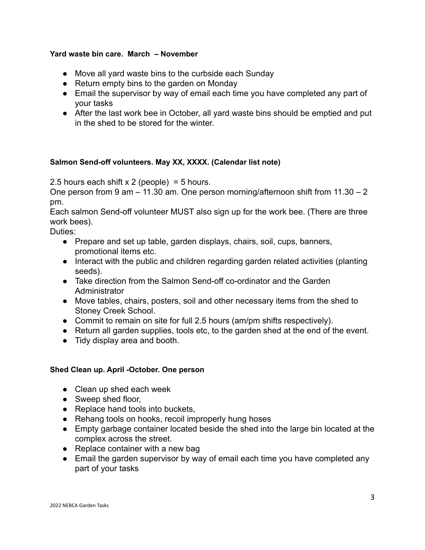## **Yard waste bin care. March – November**

- Move all yard waste bins to the curbside each Sunday
- Return empty bins to the garden on Monday
- Email the supervisor by way of email each time you have completed any part of your tasks
- After the last work bee in October, all yard waste bins should be emptied and put in the shed to be stored for the winter.

## **Salmon Send-off volunteers. May XX, XXXX. (Calendar list note)**

2.5 hours each shift  $x$  2 (people) = 5 hours.

One person from 9 am – 11.30 am. One person morning/afternoon shift from 11.30 – 2 pm.

Each salmon Send-off volunteer MUST also sign up for the work bee. (There are three work bees).

Duties:

- Prepare and set up table, garden displays, chairs, soil, cups, banners, promotional items etc.
- Interact with the public and children regarding garden related activities (planting seeds).
- Take direction from the Salmon Send-off co-ordinator and the Garden **Administrator**
- Move tables, chairs, posters, soil and other necessary items from the shed to Stoney Creek School.
- Commit to remain on site for full 2.5 hours (am/pm shifts respectively).
- Return all garden supplies, tools etc, to the garden shed at the end of the event.
- Tidy display area and booth.

#### **Shed Clean up. April -October. One person**

- Clean up shed each week
- Sweep shed floor,
- Replace hand tools into buckets,
- Rehang tools on hooks, recoil improperly hung hoses
- Empty garbage container located beside the shed into the large bin located at the complex across the street.
- $\bullet$  Replace container with a new bag
- Email the garden supervisor by way of email each time you have completed any part of your tasks